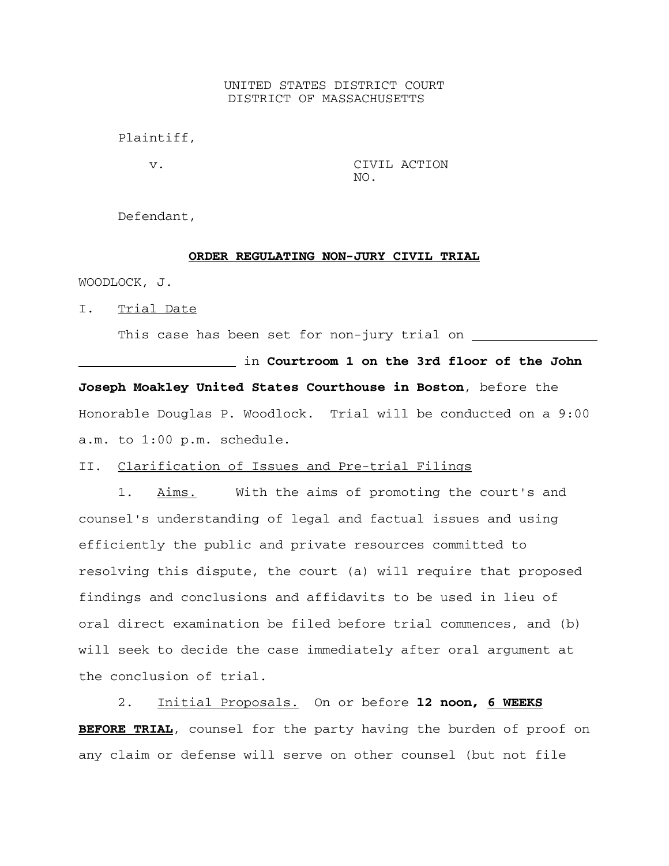## UNITED STATES DISTRICT COURT DISTRICT OF MASSACHUSETTS

Plaintiff,

 v. CIVIL ACTION NO.

Defendant,

## **ORDER REGULATING NON-JURY CIVIL TRIAL**

WOODLOCK, J.

I. Trial Date

This case has been set for non-jury trial on

in **Courtroom 1 on the 3rd floor of the John Joseph Moakley United States Courthouse in Boston**, before the Honorable Douglas P. Woodlock. Trial will be conducted on a 9:00 a.m. to 1:00 p.m. schedule.

II. Clarification of Issues and Pre-trial Filings

1. Aims. With the aims of promoting the court's and counsel's understanding of legal and factual issues and using efficiently the public and private resources committed to resolving this dispute, the court (a) will require that proposed findings and conclusions and affidavits to be used in lieu of oral direct examination be filed before trial commences, and (b) will seek to decide the case immediately after oral argument at the conclusion of trial.

2. Initial Proposals. On or before **l2 noon, 6 WEEKS BEFORE TRIAL**, counsel for the party having the burden of proof on any claim or defense will serve on other counsel (but not file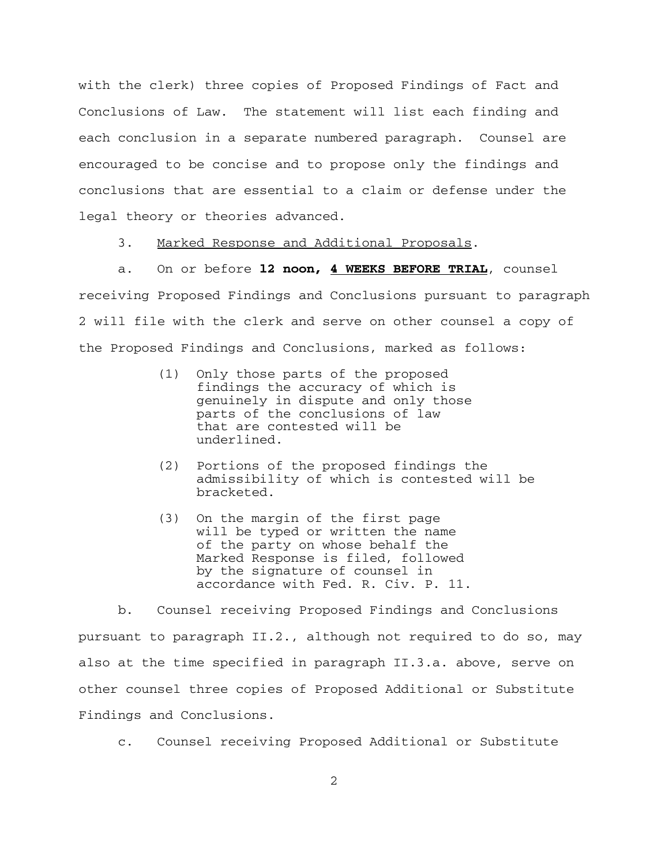with the clerk) three copies of Proposed Findings of Fact and Conclusions of Law. The statement will list each finding and each conclusion in a separate numbered paragraph. Counsel are encouraged to be concise and to propose only the findings and conclusions that are essential to a claim or defense under the legal theory or theories advanced.

3. Marked Response and Additional Proposals.

a. On or before **l2 noon, 4 WEEKS BEFORE TRIAL**, counsel receiving Proposed Findings and Conclusions pursuant to paragraph 2 will file with the clerk and serve on other counsel a copy of the Proposed Findings and Conclusions, marked as follows:

- (1) Only those parts of the proposed findings the accuracy of which is genuinely in dispute and only those parts of the conclusions of law that are contested will be underlined.
- (2) Portions of the proposed findings the admissibility of which is contested will be bracketed.
- (3) On the margin of the first page will be typed or written the name of the party on whose behalf the Marked Response is filed, followed by the signature of counsel in accordance with Fed. R. Civ. P. 11.

b. Counsel receiving Proposed Findings and Conclusions pursuant to paragraph II.2., although not required to do so, may also at the time specified in paragraph II.3.a. above, serve on other counsel three copies of Proposed Additional or Substitute Findings and Conclusions.

c. Counsel receiving Proposed Additional or Substitute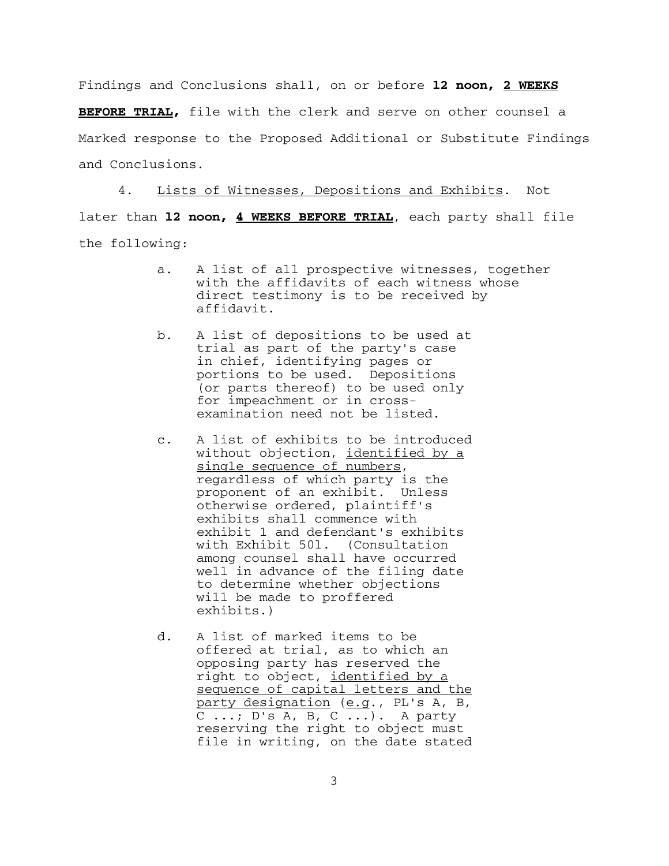Findings and Conclusions shall, on or before **l2 noon, 2 WEEKS BEFORE TRIAL,** file with the clerk and serve on other counsel a Marked response to the Proposed Additional or Substitute Findings and Conclusions.

4. Lists of Witnesses, Depositions and Exhibits. Not later than **l2 noon, 4 WEEKS BEFORE TRIAL**, each party shall file the following:

- a. A list of all prospective witnesses, together with the affidavits of each witness whose direct testimony is to be received by affidavit.
- b. A list of depositions to be used at trial as part of the party's case in chief, identifying pages or portions to be used. Depositions (or parts thereof) to be used only for impeachment or in crossexamination need not be listed.
- c. A list of exhibits to be introduced without objection, identified by a single sequence of numbers, regardless of which party is the proponent of an exhibit. Unless otherwise ordered, plaintiff's exhibits shall commence with exhibit 1 and defendant's exhibits with Exhibit 50l. (Consultation among counsel shall have occurred well in advance of the filing date to determine whether objections will be made to proffered exhibits.)
- d. A list of marked items to be offered at trial, as to which an opposing party has reserved the right to object, *identified by a* sequence of capital letters and the party designation (e.g., PL's A, B, C ...;  $D'S A, \overline{B, C \ldots}$ . A party reserving the right to object must file in writing, on the date stated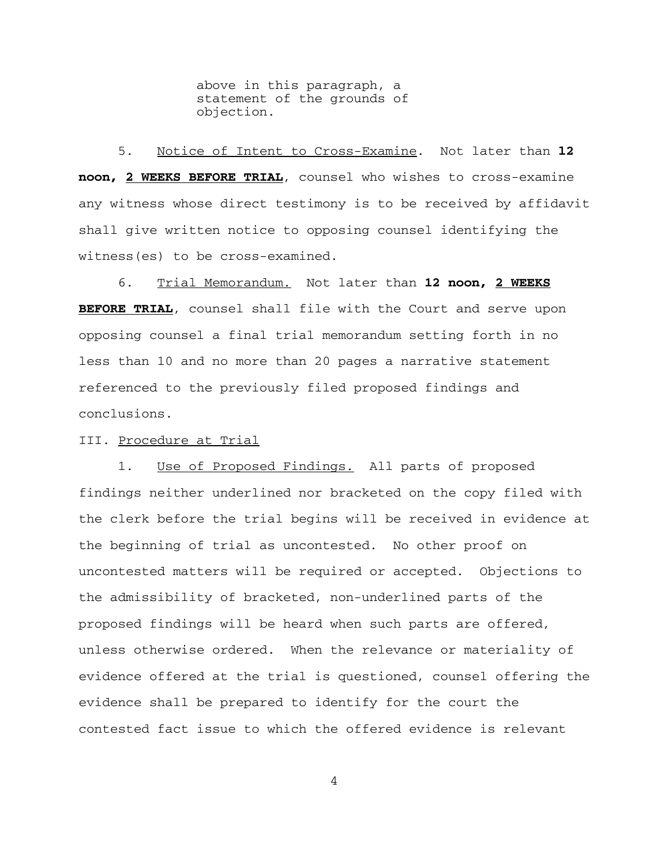above in this paragraph, a statement of the grounds of objection.

5. Notice of Intent to Cross-Examine. Not later than **l2 noon, 2 WEEKS BEFORE TRIAL**, counsel who wishes to cross-examine any witness whose direct testimony is to be received by affidavit shall give written notice to opposing counsel identifying the witness(es) to be cross-examined.

6. Trial Memorandum. Not later than **12 noon, 2 WEEKS BEFORE TRIAL**, counsel shall file with the Court and serve upon opposing counsel a final trial memorandum setting forth in no less than 10 and no more than 20 pages a narrative statement referenced to the previously filed proposed findings and conclusions.

III. Procedure at Trial

1. Use of Proposed Findings. All parts of proposed findings neither underlined nor bracketed on the copy filed with the clerk before the trial begins will be received in evidence at the beginning of trial as uncontested. No other proof on uncontested matters will be required or accepted. Objections to the admissibility of bracketed, non-underlined parts of the proposed findings will be heard when such parts are offered, unless otherwise ordered. When the relevance or materiality of evidence offered at the trial is questioned, counsel offering the evidence shall be prepared to identify for the court the contested fact issue to which the offered evidence is relevant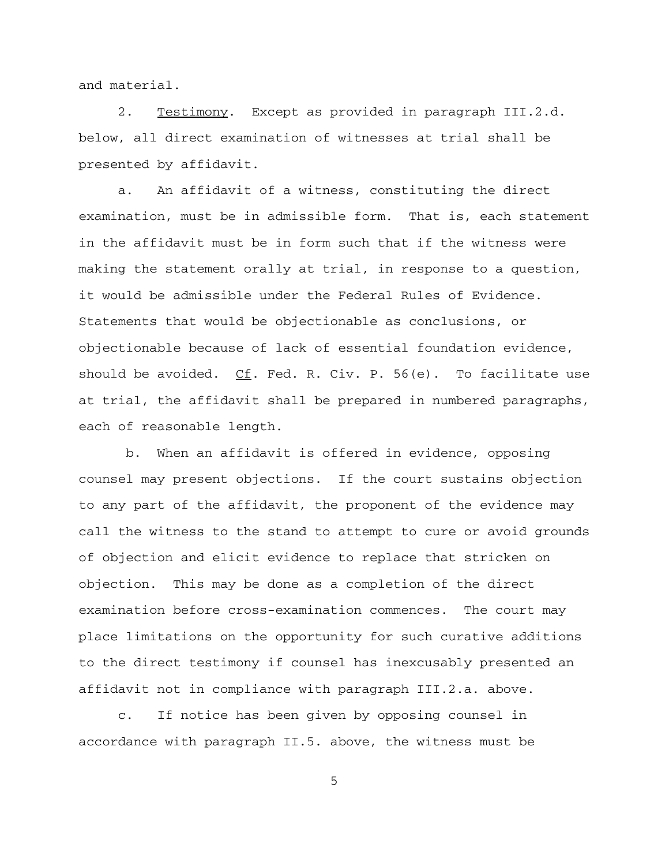and material.

2. Testimony. Except as provided in paragraph III.2.d. below, all direct examination of witnesses at trial shall be presented by affidavit.

a. An affidavit of a witness, constituting the direct examination, must be in admissible form. That is, each statement in the affidavit must be in form such that if the witness were making the statement orally at trial, in response to a question, it would be admissible under the Federal Rules of Evidence. Statements that would be objectionable as conclusions, or objectionable because of lack of essential foundation evidence, should be avoided. Cf. Fed. R. Civ. P. 56(e). To facilitate use at trial, the affidavit shall be prepared in numbered paragraphs, each of reasonable length.

 b. When an affidavit is offered in evidence, opposing counsel may present objections. If the court sustains objection to any part of the affidavit, the proponent of the evidence may call the witness to the stand to attempt to cure or avoid grounds of objection and elicit evidence to replace that stricken on objection. This may be done as a completion of the direct examination before cross-examination commences. The court may place limitations on the opportunity for such curative additions to the direct testimony if counsel has inexcusably presented an affidavit not in compliance with paragraph III.2.a. above.

c. If notice has been given by opposing counsel in accordance with paragraph II.5. above, the witness must be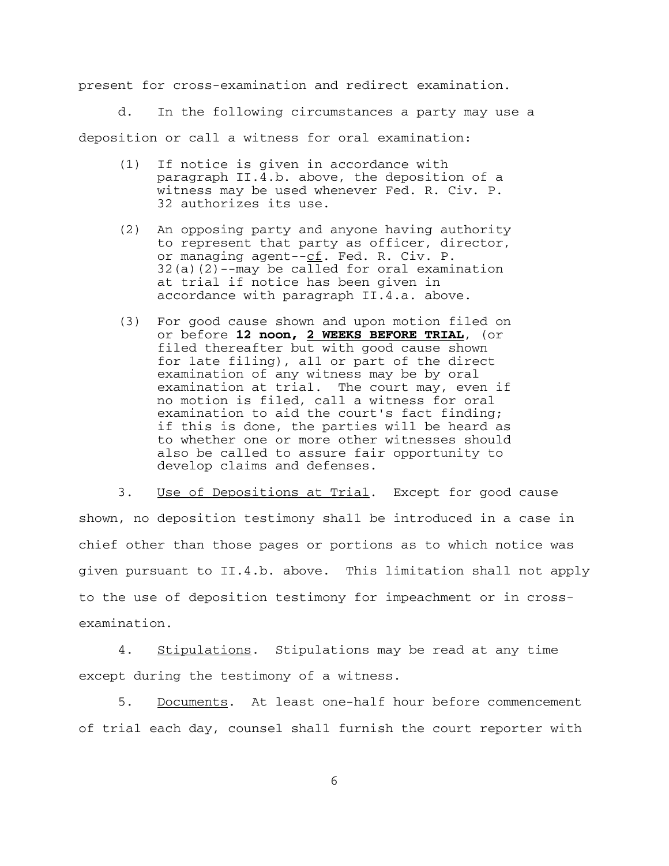present for cross-examination and redirect examination.

d. In the following circumstances a party may use a

deposition or call a witness for oral examination:

- (1) If notice is given in accordance with paragraph II.4.b. above, the deposition of a witness may be used whenever Fed. R. Civ. P. 32 authorizes its use.
- (2) An opposing party and anyone having authority to represent that party as officer, director, or managing agent--cf. Fed. R. Civ. P.  $32(a)(2)$ --may be called for oral examination at trial if notice has been given in accordance with paragraph II.4.a. above.
- (3) For good cause shown and upon motion filed on or before **12 noon, 2 WEEKS BEFORE TRIAL**, (or filed thereafter but with good cause shown for late filing), all or part of the direct examination of any witness may be by oral<br>examination at trial. The court may, even The court may, even if no motion is filed, call a witness for oral examination to aid the court's fact finding; if this is done, the parties will be heard as to whether one or more other witnesses should also be called to assure fair opportunity to develop claims and defenses.

3. Use of Depositions at Trial. Except for good cause shown, no deposition testimony shall be introduced in a case in chief other than those pages or portions as to which notice was given pursuant to II.4.b. above. This limitation shall not apply to the use of deposition testimony for impeachment or in crossexamination.

4. Stipulations. Stipulations may be read at any time except during the testimony of a witness.

5. Documents. At least one-half hour before commencement of trial each day, counsel shall furnish the court reporter with